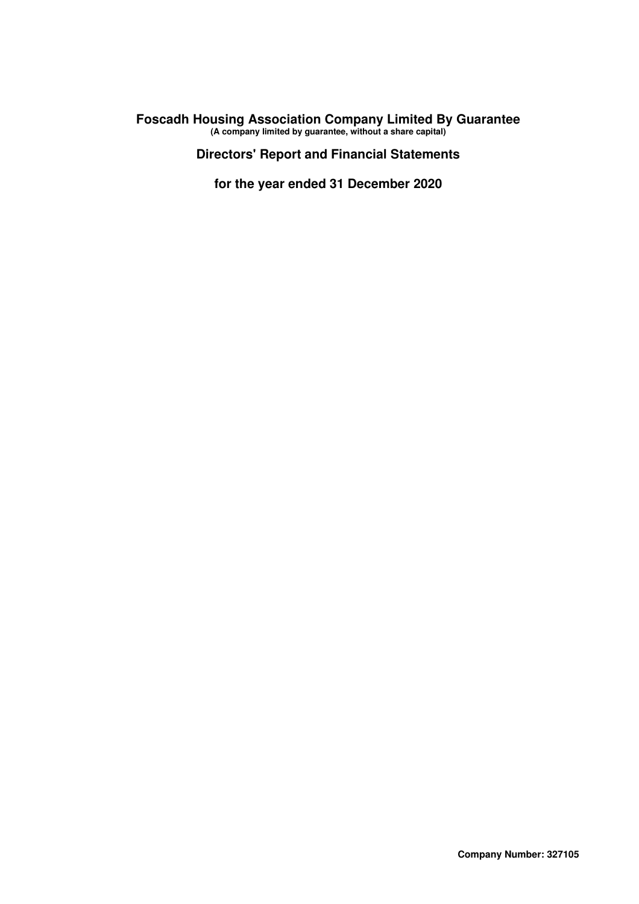**Foscadh Housing Association Company Limited By Guarantee (A company limited by guarantee, without a share capital)**

**Directors' Report and Financial Statements**

**for the year ended 31 December 2020**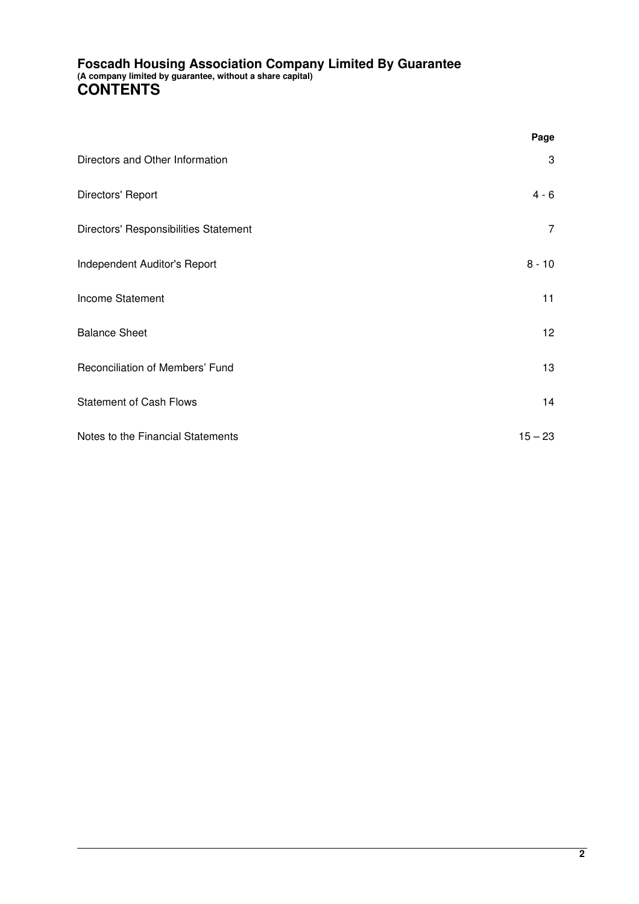### **Foscadh Housing Association Company Limited By Guarantee (A company limited by guarantee, without a share capital) CONTENTS**

|                                       | Page            |
|---------------------------------------|-----------------|
| Directors and Other Information       | 3               |
| Directors' Report                     | $4 - 6$         |
| Directors' Responsibilities Statement | 7               |
| Independent Auditor's Report          | $8 - 10$        |
| Income Statement                      | 11              |
| <b>Balance Sheet</b>                  | 12 <sup>°</sup> |
| Reconciliation of Members' Fund       | 13              |
| <b>Statement of Cash Flows</b>        | 14              |
| Notes to the Financial Statements     | $15 - 23$       |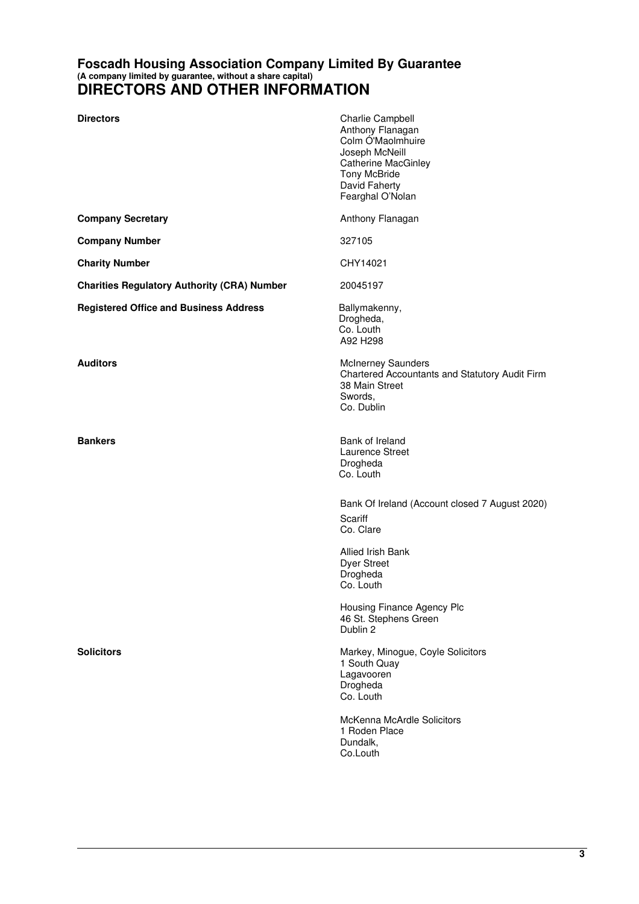#### **Foscadh Housing Association Company Limited By Guarantee (A company limited by guarantee, without a share capital) DIRECTORS AND OTHER INFORMATION**

| <b>Directors</b>                                                 | Charlie Campbell<br>Anthony Flanagan<br>Colm Ó'Maolmhuire<br>Joseph McNeill<br><b>Catherine MacGinley</b><br>Tony McBride<br>David Faherty<br>Fearghal O'Nolan |
|------------------------------------------------------------------|----------------------------------------------------------------------------------------------------------------------------------------------------------------|
| <b>Company Secretary</b>                                         | Anthony Flanagan                                                                                                                                               |
| <b>Company Number</b>                                            | 327105                                                                                                                                                         |
| <b>Charity Number</b>                                            | CHY14021                                                                                                                                                       |
| <b>Charities Regulatory Authority (CRA) Number</b>               | 20045197                                                                                                                                                       |
| <b>Registered Office and Business Address</b><br><b>Auditors</b> | Ballymakenny,<br>Drogheda,<br>Co. Louth<br>A92 H298                                                                                                            |
|                                                                  | <b>McInerney Saunders</b><br>Chartered Accountants and Statutory Audit Firm<br>38 Main Street<br>Swords.<br>Co. Dublin                                         |
| <b>Bankers</b>                                                   | Bank of Ireland<br>Laurence Street<br>Drogheda<br>Co. Louth                                                                                                    |
|                                                                  | Bank Of Ireland (Account closed 7 August 2020)<br>Scariff<br>Co. Clare                                                                                         |
|                                                                  | Allied Irish Bank<br><b>Dyer Street</b><br>Drogheda<br>Co. Louth                                                                                               |
|                                                                  | Housing Finance Agency Plc<br>46 St. Stephens Green<br>Dublin 2                                                                                                |
| <b>Solicitors</b>                                                | Markey, Minogue, Coyle Solicitors<br>1 South Quay<br>Lagavooren<br>Drogheda<br>Co. Louth                                                                       |
|                                                                  | McKenna McArdle Solicitors<br>1 Roden Place<br>Dundalk,<br>Co.Louth                                                                                            |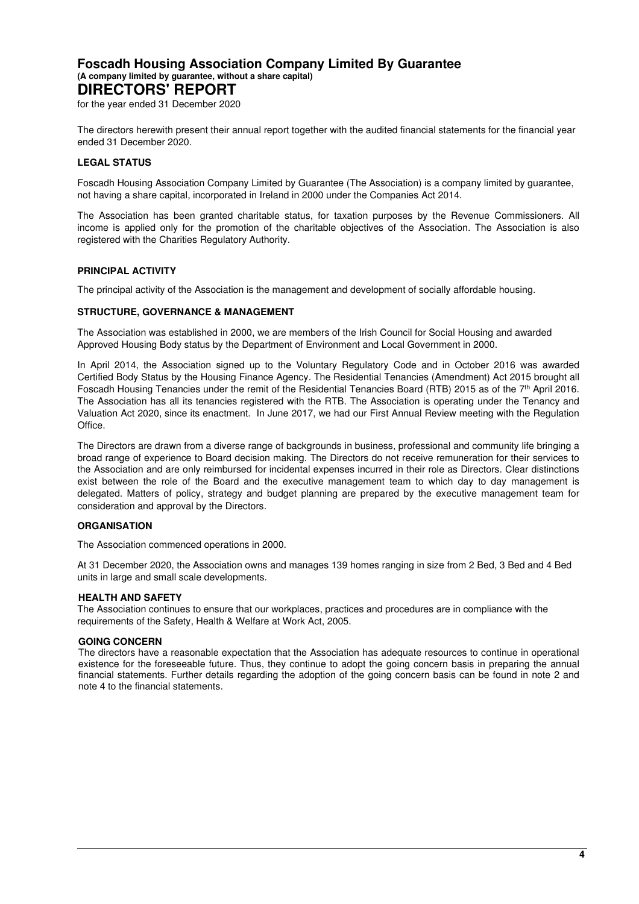#### **Foscadh Housing Association Company Limited By Guarantee (A company limited by guarantee, without a share capital) DIRECTORS' REPORT**

for the year ended 31 December 2020

The directors herewith present their annual report together with the audited financial statements for the financial year ended 31 December 2020.

#### **LEGAL STATUS**

Foscadh Housing Association Company Limited by Guarantee (The Association) is a company limited by guarantee, not having a share capital, incorporated in Ireland in 2000 under the Companies Act 2014.

The Association has been granted charitable status, for taxation purposes by the Revenue Commissioners. All income is applied only for the promotion of the charitable objectives of the Association. The Association is also registered with the Charities Regulatory Authority.

#### **PRINCIPAL ACTIVITY**

The principal activity of the Association is the management and development of socially affordable housing.

#### **STRUCTURE, GOVERNANCE & MANAGEMENT**

The Association was established in 2000, we are members of the Irish Council for Social Housing and awarded Approved Housing Body status by the Department of Environment and Local Government in 2000.

In April 2014, the Association signed up to the Voluntary Regulatory Code and in October 2016 was awarded Certified Body Status by the Housing Finance Agency. The Residential Tenancies (Amendment) Act 2015 brought all Foscadh Housing Tenancies under the remit of the Residential Tenancies Board (RTB) 2015 as of the 7<sup>th</sup> April 2016. The Association has all its tenancies registered with the RTB. The Association is operating under the Tenancy and Valuation Act 2020, since its enactment. In June 2017, we had our First Annual Review meeting with the Regulation Office.

The Directors are drawn from a diverse range of backgrounds in business, professional and community life bringing a broad range of experience to Board decision making. The Directors do not receive remuneration for their services to the Association and are only reimbursed for incidental expenses incurred in their role as Directors. Clear distinctions exist between the role of the Board and the executive management team to which day to day management is delegated. Matters of policy, strategy and budget planning are prepared by the executive management team for consideration and approval by the Directors.

#### **ORGANISATION**

The Association commenced operations in 2000.

At 31 December 2020, the Association owns and manages 139 homes ranging in size from 2 Bed, 3 Bed and 4 Bed units in large and small scale developments.

#### **HEALTH AND SAFETY**

The Association continues to ensure that our workplaces, practices and procedures are in compliance with the requirements of the Safety, Health & Welfare at Work Act, 2005.

#### **GOING CONCERN**

The directors have a reasonable expectation that the Association has adequate resources to continue in operational existence for the foreseeable future. Thus, they continue to adopt the going concern basis in preparing the annual financial statements. Further details regarding the adoption of the going concern basis can be found in note 2 and note 4 to the financial statements.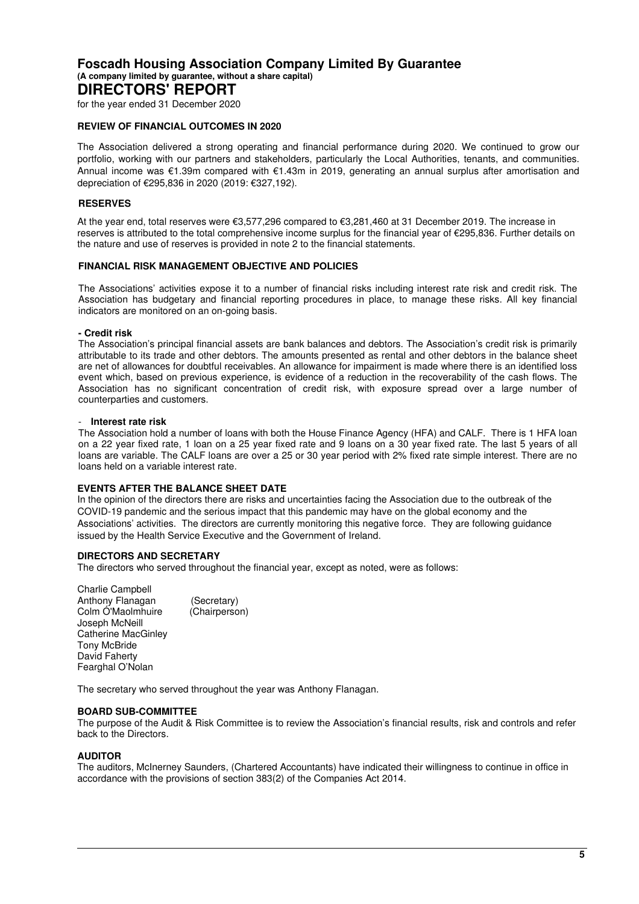#### **Foscadh Housing Association Company Limited By Guarantee (A company limited by guarantee, without a share capital) DIRECTORS' REPORT**

for the year ended 31 December 2020

#### **REVIEW OF FINANCIAL OUTCOMES IN 2020**

The Association delivered a strong operating and financial performance during 2020. We continued to grow our portfolio, working with our partners and stakeholders, particularly the Local Authorities, tenants, and communities. Annual income was €1.39m compared with €1.43m in 2019, generating an annual surplus after amortisation and depreciation of €295,836 in 2020 (2019: €327,192).

#### **RESERVES**

At the year end, total reserves were €3,577,296 compared to €3,281,460 at 31 December 2019. The increase in reserves is attributed to the total comprehensive income surplus for the financial year of €295,836. Further details on the nature and use of reserves is provided in note 2 to the financial statements.

#### **FINANCIAL RISK MANAGEMENT OBJECTIVE AND POLICIES**

The Associations' activities expose it to a number of financial risks including interest rate risk and credit risk. The Association has budgetary and financial reporting procedures in place, to manage these risks. All key financial indicators are monitored on an on-going basis.

#### **- Credit risk**

The Association's principal financial assets are bank balances and debtors. The Association's credit risk is primarily attributable to its trade and other debtors. The amounts presented as rental and other debtors in the balance sheet are net of allowances for doubtful receivables. An allowance for impairment is made where there is an identified loss event which, based on previous experience, is evidence of a reduction in the recoverability of the cash flows. The Association has no significant concentration of credit risk, with exposure spread over a large number of counterparties and customers.

#### - **Interest rate risk**

The Association hold a number of loans with both the House Finance Agency (HFA) and CALF. There is 1 HFA loan on a 22 year fixed rate, 1 loan on a 25 year fixed rate and 9 loans on a 30 year fixed rate. The last 5 years of all loans are variable. The CALF loans are over a 25 or 30 year period with 2% fixed rate simple interest. There are no loans held on a variable interest rate.

#### **EVENTS AFTER THE BALANCE SHEET DATE**

In the opinion of the directors there are risks and uncertainties facing the Association due to the outbreak of the COVID-19 pandemic and the serious impact that this pandemic may have on the global economy and the Associations' activities. The directors are currently monitoring this negative force. They are following guidance issued by the Health Service Executive and the Government of Ireland.

#### **DIRECTORS AND SECRETARY**

The directors who served throughout the financial year, except as noted, were as follows:

Charlie Campbell Anthony Flanagan (Secretary) Colm Ó'Maolmhuire (Chairperson) Joseph McNeill Catherine MacGinley Tony McBride David Faherty Fearghal O'Nolan

The secretary who served throughout the year was Anthony Flanagan.

#### **BOARD SUB-COMMITTEE**

The purpose of the Audit & Risk Committee is to review the Association's financial results, risk and controls and refer back to the Directors.

#### **AUDITOR**

The auditors, McInerney Saunders, (Chartered Accountants) have indicated their willingness to continue in office in accordance with the provisions of section 383(2) of the Companies Act 2014.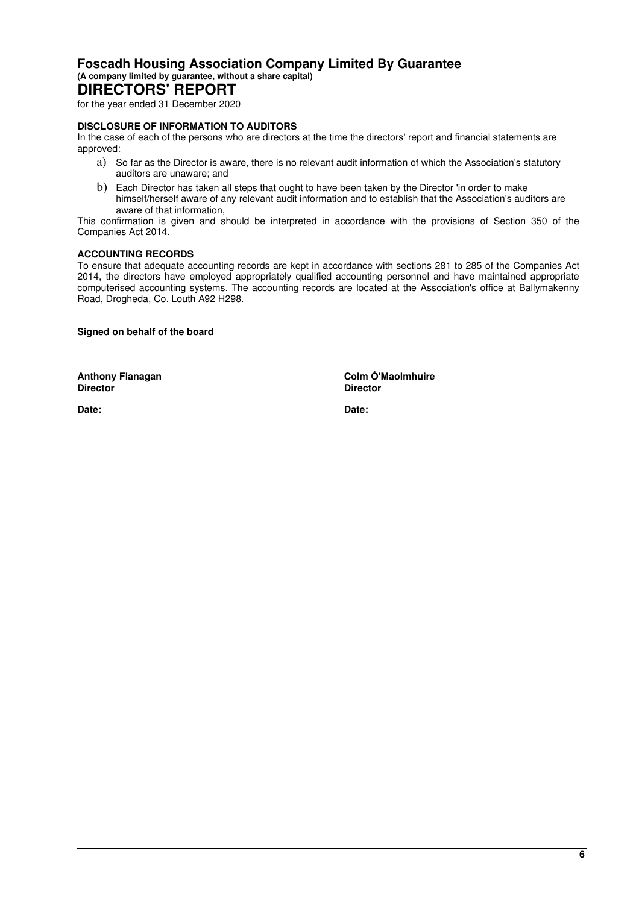#### **Foscadh Housing Association Company Limited By Guarantee (A company limited by guarantee, without a share capital) DIRECTORS' REPORT**

for the year ended 31 December 2020

#### **DISCLOSURE OF INFORMATION TO AUDITORS**

In the case of each of the persons who are directors at the time the directors' report and financial statements are approved:

- a) So far as the Director is aware, there is no relevant audit information of which the Association's statutory auditors are unaware; and
- b) Each Director has taken all steps that ought to have been taken by the Director 'in order to make himself/herself aware of any relevant audit information and to establish that the Association's auditors are aware of that information,

This confirmation is given and should be interpreted in accordance with the provisions of Section 350 of the Companies Act 2014.

#### **ACCOUNTING RECORDS**

To ensure that adequate accounting records are kept in accordance with sections 281 to 285 of the Companies Act 2014, the directors have employed appropriately qualified accounting personnel and have maintained appropriate computerised accounting systems. The accounting records are located at the Association's office at Ballymakenny Road, Drogheda, Co. Louth A92 H298.

**Signed on behalf of the board**

**Anthony Flanagan Colm Ó'Maolmhuire Director Director**

**Date: Date:**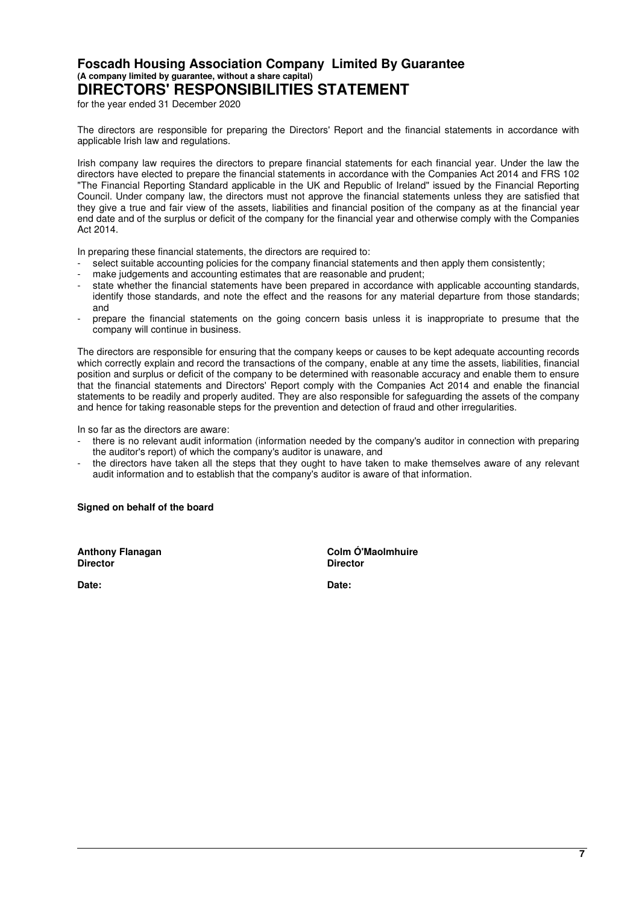#### **Foscadh Housing Association Company Limited By Guarantee (A company limited by guarantee, without a share capital) DIRECTORS' RESPONSIBILITIES STATEMENT**

for the year ended 31 December 2020

The directors are responsible for preparing the Directors' Report and the financial statements in accordance with applicable Irish law and regulations.

Irish company law requires the directors to prepare financial statements for each financial year. Under the law the directors have elected to prepare the financial statements in accordance with the Companies Act 2014 and FRS 102 "The Financial Reporting Standard applicable in the UK and Republic of Ireland" issued by the Financial Reporting Council. Under company law, the directors must not approve the financial statements unless they are satisfied that they give a true and fair view of the assets, liabilities and financial position of the company as at the financial year end date and of the surplus or deficit of the company for the financial year and otherwise comply with the Companies Act 2014.

In preparing these financial statements, the directors are required to:

- select suitable accounting policies for the company financial statements and then apply them consistently;
- make judgements and accounting estimates that are reasonable and prudent;
- state whether the financial statements have been prepared in accordance with applicable accounting standards, identify those standards, and note the effect and the reasons for any material departure from those standards; and
- prepare the financial statements on the going concern basis unless it is inappropriate to presume that the company will continue in business.

The directors are responsible for ensuring that the company keeps or causes to be kept adequate accounting records which correctly explain and record the transactions of the company, enable at any time the assets, liabilities, financial position and surplus or deficit of the company to be determined with reasonable accuracy and enable them to ensure that the financial statements and Directors' Report comply with the Companies Act 2014 and enable the financial statements to be readily and properly audited. They are also responsible for safeguarding the assets of the company and hence for taking reasonable steps for the prevention and detection of fraud and other irregularities.

In so far as the directors are aware:

- there is no relevant audit information (information needed by the company's auditor in connection with preparing the auditor's report) of which the company's auditor is unaware, and
- the directors have taken all the steps that they ought to have taken to make themselves aware of any relevant audit information and to establish that the company's auditor is aware of that information.

**Signed on behalf of the board**

**Director Director**

**Anthony Flanagan Colm Ó'Maolmhuire**

**Date: Date:**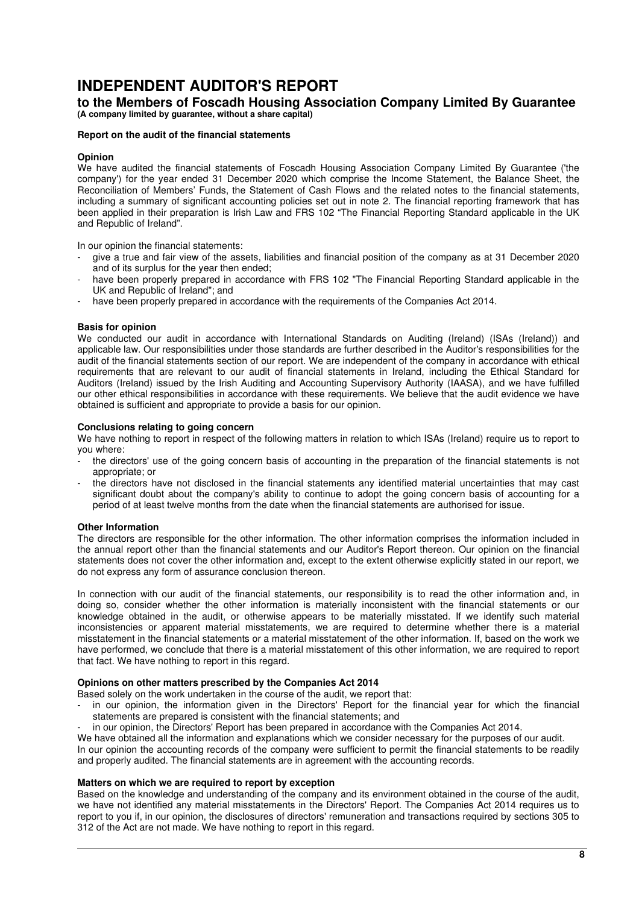# **INDEPENDENT AUDITOR'S REPORT**

#### **to the Members of Foscadh Housing Association Company Limited By Guarantee (A company limited by guarantee, without a share capital)**

#### **Report on the audit of the financial statements**

#### **Opinion**

We have audited the financial statements of Foscadh Housing Association Company Limited By Guarantee ('the company') for the year ended 31 December 2020 which comprise the Income Statement, the Balance Sheet, the Reconciliation of Members' Funds, the Statement of Cash Flows and the related notes to the financial statements, including a summary of significant accounting policies set out in note 2. The financial reporting framework that has been applied in their preparation is Irish Law and FRS 102 "The Financial Reporting Standard applicable in the UK and Republic of Ireland".

In our opinion the financial statements:

- give a true and fair view of the assets, liabilities and financial position of the company as at 31 December 2020 and of its surplus for the year then ended;
- have been properly prepared in accordance with FRS 102 "The Financial Reporting Standard applicable in the UK and Republic of Ireland"; and
- have been properly prepared in accordance with the requirements of the Companies Act 2014.

#### **Basis for opinion**

We conducted our audit in accordance with International Standards on Auditing (Ireland) (ISAs (Ireland)) and applicable law. Our responsibilities under those standards are further described in the Auditor's responsibilities for the audit of the financial statements section of our report. We are independent of the company in accordance with ethical requirements that are relevant to our audit of financial statements in Ireland, including the Ethical Standard for Auditors (Ireland) issued by the Irish Auditing and Accounting Supervisory Authority (IAASA), and we have fulfilled our other ethical responsibilities in accordance with these requirements. We believe that the audit evidence we have obtained is sufficient and appropriate to provide a basis for our opinion.

#### **Conclusions relating to going concern**

We have nothing to report in respect of the following matters in relation to which ISAs (Ireland) require us to report to you where:

- the directors' use of the going concern basis of accounting in the preparation of the financial statements is not appropriate; or
- the directors have not disclosed in the financial statements any identified material uncertainties that may cast significant doubt about the company's ability to continue to adopt the going concern basis of accounting for a period of at least twelve months from the date when the financial statements are authorised for issue.

#### **Other Information**

The directors are responsible for the other information. The other information comprises the information included in the annual report other than the financial statements and our Auditor's Report thereon. Our opinion on the financial statements does not cover the other information and, except to the extent otherwise explicitly stated in our report, we do not express any form of assurance conclusion thereon.

In connection with our audit of the financial statements, our responsibility is to read the other information and, in doing so, consider whether the other information is materially inconsistent with the financial statements or our knowledge obtained in the audit, or otherwise appears to be materially misstated. If we identify such material inconsistencies or apparent material misstatements, we are required to determine whether there is a material misstatement in the financial statements or a material misstatement of the other information. If, based on the work we have performed, we conclude that there is a material misstatement of this other information, we are required to report that fact. We have nothing to report in this regard.

#### **Opinions on other matters prescribed by the Companies Act 2014**

Based solely on the work undertaken in the course of the audit, we report that:

- in our opinion, the information given in the Directors' Report for the financial year for which the financial statements are prepared is consistent with the financial statements; and
- in our opinion, the Directors' Report has been prepared in accordance with the Companies Act 2014.

We have obtained all the information and explanations which we consider necessary for the purposes of our audit. In our opinion the accounting records of the company were sufficient to permit the financial statements to be readily and properly audited. The financial statements are in agreement with the accounting records.

#### **Matters on which we are required to report by exception**

Based on the knowledge and understanding of the company and its environment obtained in the course of the audit, we have not identified any material misstatements in the Directors' Report. The Companies Act 2014 requires us to report to you if, in our opinion, the disclosures of directors' remuneration and transactions required by sections 305 to 312 of the Act are not made. We have nothing to report in this regard.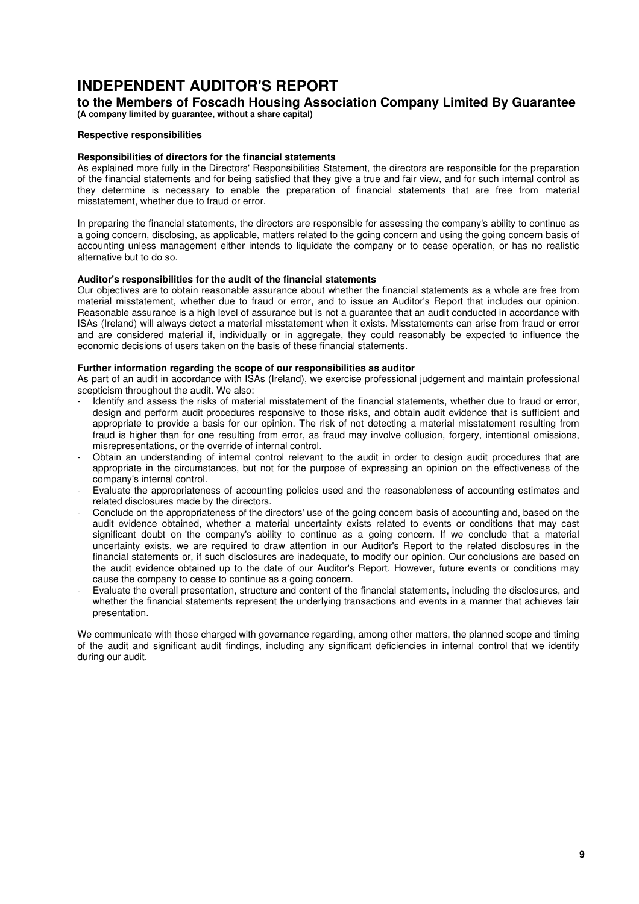# **INDEPENDENT AUDITOR'S REPORT**

#### **to the Members of Foscadh Housing Association Company Limited By Guarantee (A company limited by guarantee, without a share capital)**

#### **Respective responsibilities**

#### **Responsibilities of directors for the financial statements**

As explained more fully in the Directors' Responsibilities Statement, the directors are responsible for the preparation of the financial statements and for being satisfied that they give a true and fair view, and for such internal control as they determine is necessary to enable the preparation of financial statements that are free from material misstatement, whether due to fraud or error.

In preparing the financial statements, the directors are responsible for assessing the company's ability to continue as a going concern, disclosing, as applicable, matters related to the going concern and using the going concern basis of accounting unless management either intends to liquidate the company or to cease operation, or has no realistic alternative but to do so.

#### **Auditor's responsibilities for the audit of the financial statements**

Our objectives are to obtain reasonable assurance about whether the financial statements as a whole are free from material misstatement, whether due to fraud or error, and to issue an Auditor's Report that includes our opinion. Reasonable assurance is a high level of assurance but is not a guarantee that an audit conducted in accordance with ISAs (Ireland) will always detect a material misstatement when it exists. Misstatements can arise from fraud or error and are considered material if, individually or in aggregate, they could reasonably be expected to influence the economic decisions of users taken on the basis of these financial statements.

#### **Further information regarding the scope of our responsibilities as auditor**

As part of an audit in accordance with ISAs (Ireland), we exercise professional judgement and maintain professional scepticism throughout the audit. We also:

- Identify and assess the risks of material misstatement of the financial statements, whether due to fraud or error, design and perform audit procedures responsive to those risks, and obtain audit evidence that is sufficient and appropriate to provide a basis for our opinion. The risk of not detecting a material misstatement resulting from fraud is higher than for one resulting from error, as fraud may involve collusion, forgery, intentional omissions, misrepresentations, or the override of internal control.
- Obtain an understanding of internal control relevant to the audit in order to design audit procedures that are appropriate in the circumstances, but not for the purpose of expressing an opinion on the effectiveness of the company's internal control.
- Evaluate the appropriateness of accounting policies used and the reasonableness of accounting estimates and related disclosures made by the directors.
- Conclude on the appropriateness of the directors' use of the going concern basis of accounting and, based on the audit evidence obtained, whether a material uncertainty exists related to events or conditions that may cast significant doubt on the company's ability to continue as a going concern. If we conclude that a material uncertainty exists, we are required to draw attention in our Auditor's Report to the related disclosures in the financial statements or, if such disclosures are inadequate, to modify our opinion. Our conclusions are based on the audit evidence obtained up to the date of our Auditor's Report. However, future events or conditions may cause the company to cease to continue as a going concern.
- Evaluate the overall presentation, structure and content of the financial statements, including the disclosures, and whether the financial statements represent the underlying transactions and events in a manner that achieves fair presentation.

We communicate with those charged with governance regarding, among other matters, the planned scope and timing of the audit and significant audit findings, including any significant deficiencies in internal control that we identify during our audit.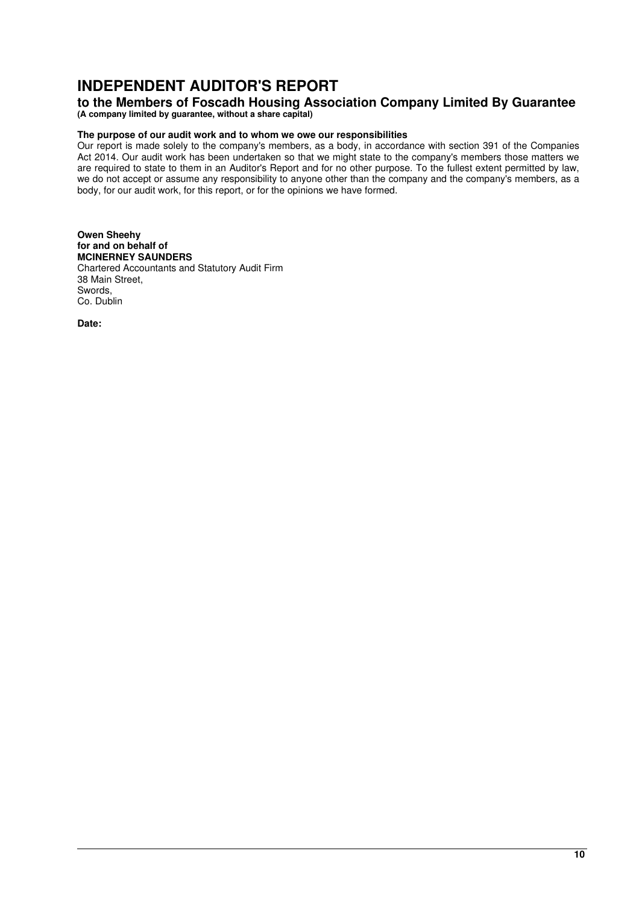# **INDEPENDENT AUDITOR'S REPORT**

#### **to the Members of Foscadh Housing Association Company Limited By Guarantee (A company limited by guarantee, without a share capital)**

#### **The purpose of our audit work and to whom we owe our responsibilities**

Our report is made solely to the company's members, as a body, in accordance with section 391 of the Companies Act 2014. Our audit work has been undertaken so that we might state to the company's members those matters we are required to state to them in an Auditor's Report and for no other purpose. To the fullest extent permitted by law, we do not accept or assume any responsibility to anyone other than the company and the company's members, as a body, for our audit work, for this report, or for the opinions we have formed.

**Owen Sheehy for and on behalf of MCINERNEY SAUNDERS** Chartered Accountants and Statutory Audit Firm 38 Main Street, Swords, Co. Dublin

**Date:**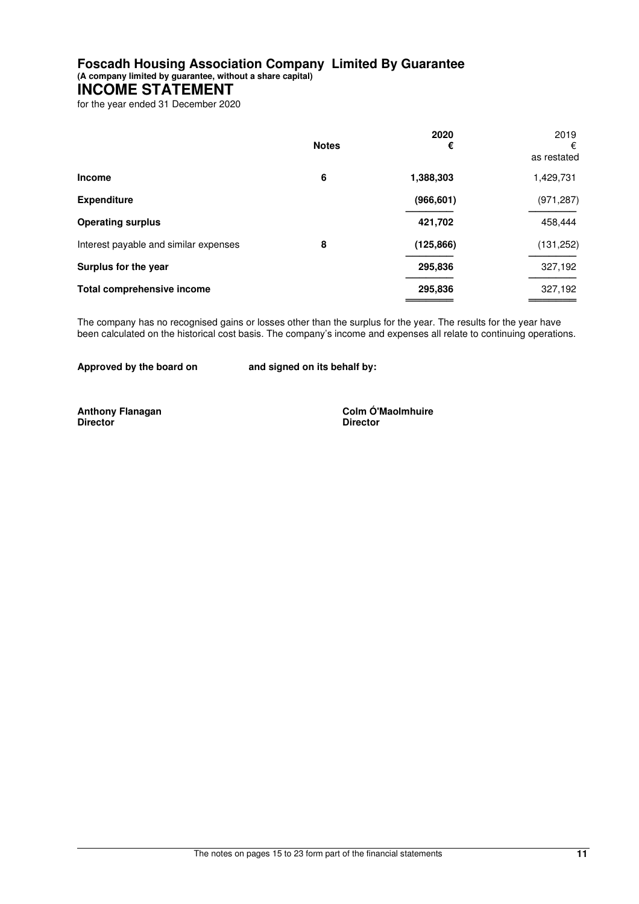for the year ended 31 December 2020

|                                       | <b>Notes</b> | 2020<br>€  | 2019<br>€<br>as restated |
|---------------------------------------|--------------|------------|--------------------------|
| <b>Income</b>                         | 6            | 1,388,303  | 1,429,731                |
| <b>Expenditure</b>                    |              | (966, 601) | (971, 287)               |
| <b>Operating surplus</b>              |              | 421,702    | 458,444                  |
| Interest payable and similar expenses | 8            | (125, 866) | (131, 252)               |
| Surplus for the year                  |              | 295,836    | 327,192                  |
| Total comprehensive income            |              | 295,836    | 327,192                  |

The company has no recognised gains or losses other than the surplus for the year. The results for the year have been calculated on the historical cost basis. The company's income and expenses all relate to continuing operations.

**Approved by the board on and signed on its behalf by:**

**Director Director**

**Anthony Flanagan Colm Ó'Maolmhuire**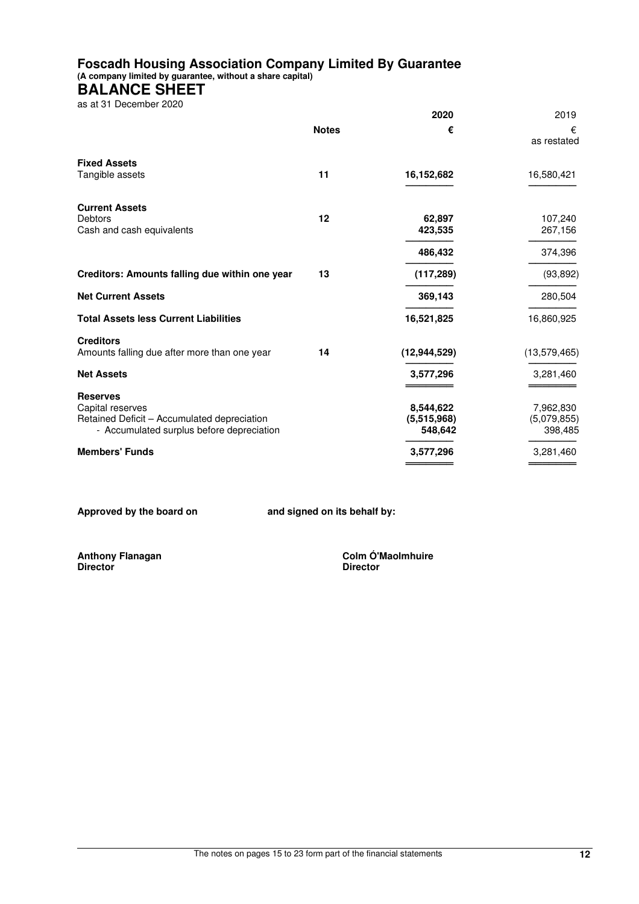#### **Foscadh Housing Association Company Limited By Guarantee (A company limited by guarantee, without a share capital)**

**BALANCE SHEET**

as at 31 December 2020

|                                                |              | 2020              | 2019               |
|------------------------------------------------|--------------|-------------------|--------------------|
|                                                | <b>Notes</b> | €                 | €<br>as restated   |
| <b>Fixed Assets</b>                            |              |                   |                    |
| Tangible assets                                | 11           | 16,152,682        | 16,580,421         |
| <b>Current Assets</b>                          |              |                   |                    |
| Debtors<br>Cash and cash equivalents           | 12           | 62,897<br>423,535 | 107,240<br>267,156 |
|                                                |              |                   |                    |
|                                                |              | 486,432           | 374,396            |
| Creditors: Amounts falling due within one year | 13           | (117, 289)        | (93, 892)          |
| <b>Net Current Assets</b>                      |              | 369,143           | 280,504            |
| <b>Total Assets less Current Liabilities</b>   |              | 16,521,825        | 16,860,925         |
| <b>Creditors</b>                               |              |                   |                    |
| Amounts falling due after more than one year   | 14           | (12, 944, 529)    | (13,579,465)       |
| <b>Net Assets</b>                              |              | 3,577,296         | 3,281,460          |
| <b>Reserves</b>                                |              |                   |                    |
| Capital reserves                               |              | 8,544,622         | 7,962,830          |
| Retained Deficit - Accumulated depreciation    |              | (5,515,968)       | (5,079,855)        |
| - Accumulated surplus before depreciation      |              | 548,642           | 398,485            |
| <b>Members' Funds</b>                          |              | 3,577,296         | 3,281,460          |
|                                                |              |                   |                    |

Approved by the board on **and signed on its behalf by:** 

**Anthony Flanagan Colm Ó'Maolmhuire Director Director**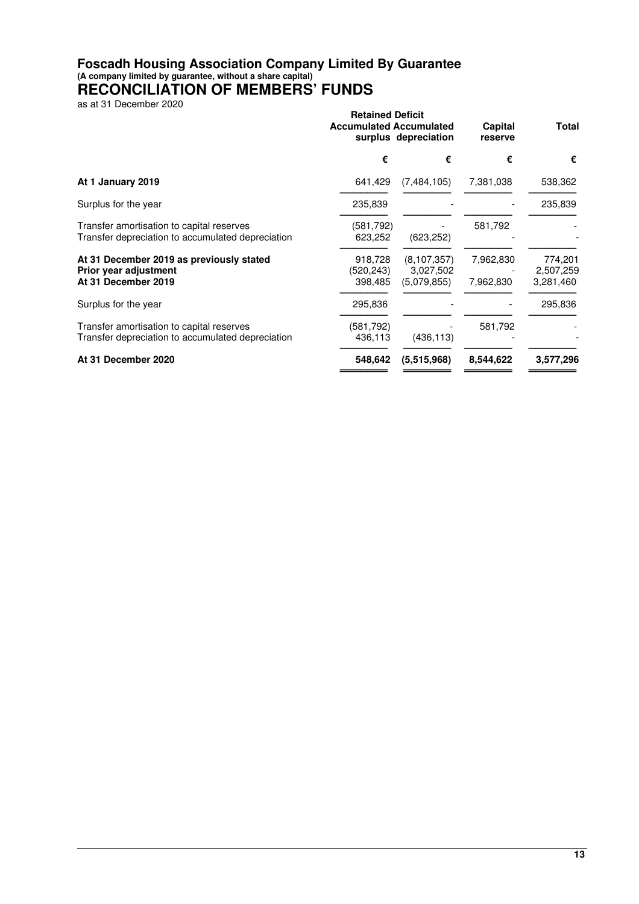### **Foscadh Housing Association Company Limited By Guarantee (A company limited by guarantee, without a share capital) RECONCILIATION OF MEMBERS' FUNDS**

as at 31 December 2020

|                                                                                                | <b>Retained Deficit</b><br><b>Accumulated Accumulated</b><br>surplus depreciation |                                           | Capital<br>reserve     | <b>Total</b>                      |
|------------------------------------------------------------------------------------------------|-----------------------------------------------------------------------------------|-------------------------------------------|------------------------|-----------------------------------|
|                                                                                                | €                                                                                 | €                                         | €                      | €                                 |
| At 1 January 2019                                                                              | 641,429                                                                           | (7,484,105)                               | 7,381,038              | 538,362                           |
| Surplus for the year                                                                           | 235,839                                                                           |                                           |                        | 235,839                           |
| Transfer amortisation to capital reserves<br>Transfer depreciation to accumulated depreciation | (581,792)<br>623,252                                                              | (623, 252)                                | 581,792                |                                   |
| At 31 December 2019 as previously stated<br>Prior year adjustment<br>At 31 December 2019       | 918,728<br>(520,243)<br>398,485                                                   | (8, 107, 357)<br>3,027,502<br>(5,079,855) | 7,962,830<br>7,962,830 | 774,201<br>2,507,259<br>3,281,460 |
| Surplus for the year                                                                           | 295,836                                                                           |                                           |                        | 295,836                           |
| Transfer amortisation to capital reserves<br>Transfer depreciation to accumulated depreciation | (581,792)<br>436,113                                                              | (436, 113)                                | 581,792                |                                   |
| At 31 December 2020                                                                            | 548,642                                                                           | (5,515,968)                               | 8,544,622              | 3,577,296                         |
|                                                                                                |                                                                                   |                                           |                        |                                   |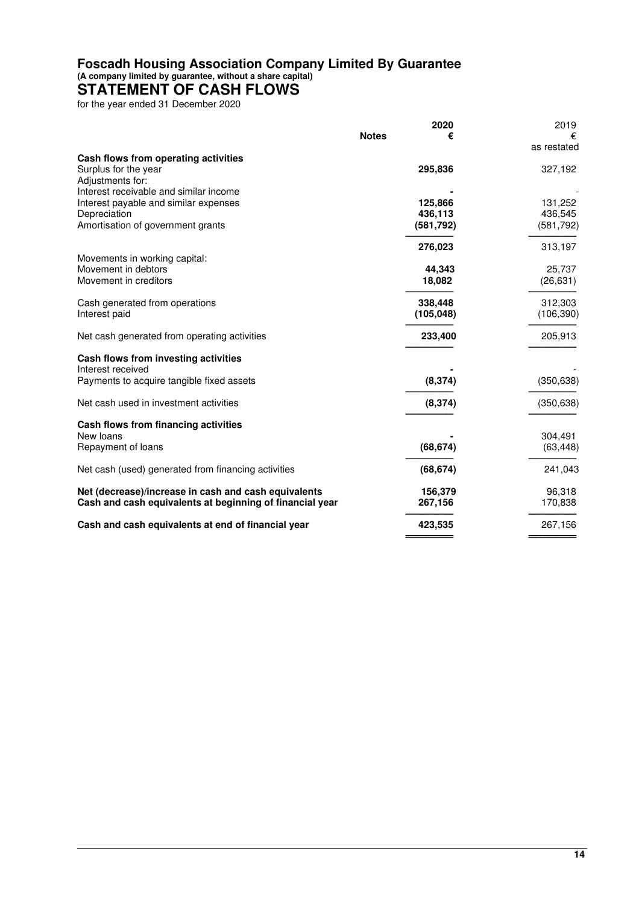### **Foscadh Housing Association Company Limited By Guarantee (A company limited by guarantee, without a share capital) STATEMENT OF CASH FLOWS**

for the year ended 31 December 2020

|                                                          | 2020              | 2019        |
|----------------------------------------------------------|-------------------|-------------|
|                                                          | <b>Notes</b><br>€ | €           |
|                                                          |                   | as restated |
| Cash flows from operating activities                     |                   |             |
| Surplus for the year                                     | 295,836           | 327,192     |
| Adjustments for:                                         |                   |             |
| Interest receivable and similar income                   | 125,866           | 131,252     |
| Interest payable and similar expenses<br>Depreciation    | 436,113           | 436,545     |
| Amortisation of government grants                        | (581, 792)        | (581, 792)  |
|                                                          |                   |             |
|                                                          | 276,023           | 313,197     |
| Movements in working capital:                            |                   |             |
| Movement in debtors                                      | 44,343            | 25,737      |
| Movement in creditors                                    | 18,082            | (26, 631)   |
|                                                          |                   |             |
| Cash generated from operations                           | 338,448           | 312,303     |
| Interest paid                                            | (105, 048)        | (106, 390)  |
| Net cash generated from operating activities             | 233,400           | 205,913     |
|                                                          |                   |             |
| Cash flows from investing activities                     |                   |             |
| Interest received                                        |                   |             |
| Payments to acquire tangible fixed assets                | (8, 374)          | (350, 638)  |
|                                                          |                   |             |
| Net cash used in investment activities                   | (8, 374)          | (350, 638)  |
| Cash flows from financing activities                     |                   |             |
| New loans                                                |                   | 304,491     |
| Repayment of loans                                       | (68, 674)         | (63, 448)   |
|                                                          |                   |             |
| Net cash (used) generated from financing activities      | (68, 674)         | 241,043     |
| Net (decrease)/increase in cash and cash equivalents     | 156,379           | 96,318      |
| Cash and cash equivalents at beginning of financial year | 267,156           | 170,838     |
| Cash and cash equivalents at end of financial year       | 423,535           | 267,156     |
|                                                          |                   |             |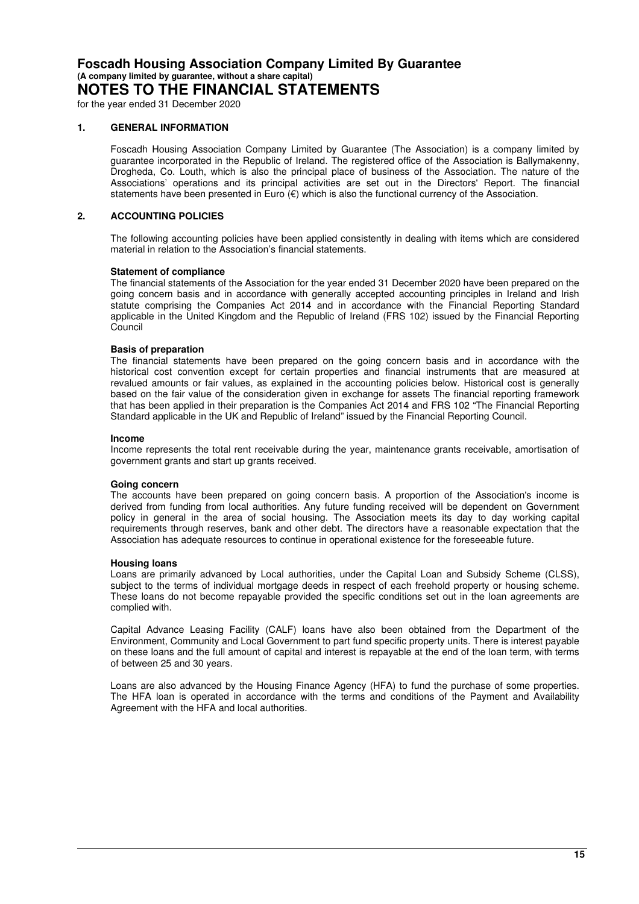for the year ended 31 December 2020

#### **1. GENERAL INFORMATION**

 Foscadh Housing Association Company Limited by Guarantee (The Association) is a company limited by guarantee incorporated in the Republic of Ireland. The registered office of the Association is Ballymakenny, Drogheda, Co. Louth, which is also the principal place of business of the Association. The nature of the Associations' operations and its principal activities are set out in the Directors' Report. The financial statements have been presented in Euro  $(\epsilon)$  which is also the functional currency of the Association.

#### **2. ACCOUNTING POLICIES**

The following accounting policies have been applied consistently in dealing with items which are considered material in relation to the Association's financial statements.

#### **Statement of compliance**

 The financial statements of the Association for the year ended 31 December 2020 have been prepared on the going concern basis and in accordance with generally accepted accounting principles in Ireland and Irish statute comprising the Companies Act 2014 and in accordance with the Financial Reporting Standard applicable in the United Kingdom and the Republic of Ireland (FRS 102) issued by the Financial Reporting **Council** 

#### **Basis of preparation**

 The financial statements have been prepared on the going concern basis and in accordance with the historical cost convention except for certain properties and financial instruments that are measured at revalued amounts or fair values, as explained in the accounting policies below. Historical cost is generally based on the fair value of the consideration given in exchange for assets The financial reporting framework that has been applied in their preparation is the Companies Act 2014 and FRS 102 "The Financial Reporting Standard applicable in the UK and Republic of Ireland" issued by the Financial Reporting Council.

#### **Income**

 Income represents the total rent receivable during the year, maintenance grants receivable, amortisation of government grants and start up grants received.

#### **Going concern**

 The accounts have been prepared on going concern basis. A proportion of the Association's income is derived from funding from local authorities. Any future funding received will be dependent on Government policy in general in the area of social housing. The Association meets its day to day working capital requirements through reserves, bank and other debt. The directors have a reasonable expectation that the Association has adequate resources to continue in operational existence for the foreseeable future.

#### **Housing loans**

Loans are primarily advanced by Local authorities, under the Capital Loan and Subsidy Scheme (CLSS), subject to the terms of individual mortgage deeds in respect of each freehold property or housing scheme. These loans do not become repayable provided the specific conditions set out in the loan agreements are complied with.

Capital Advance Leasing Facility (CALF) loans have also been obtained from the Department of the Environment, Community and Local Government to part fund specific property units. There is interest payable on these loans and the full amount of capital and interest is repayable at the end of the loan term, with terms of between 25 and 30 years.

Loans are also advanced by the Housing Finance Agency (HFA) to fund the purchase of some properties. The HFA loan is operated in accordance with the terms and conditions of the Payment and Availability Agreement with the HFA and local authorities.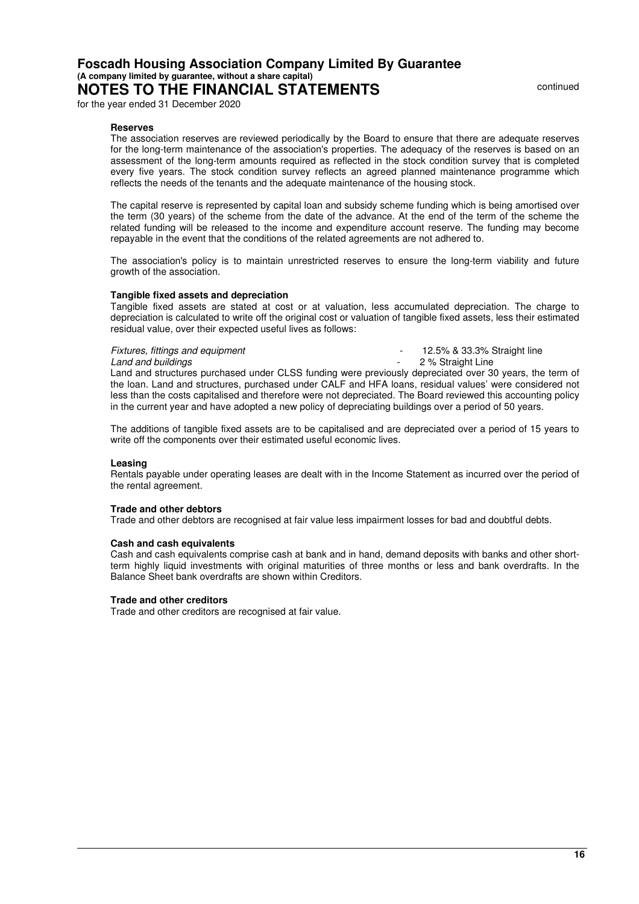for the year ended 31 December 2020

#### **Reserves**

 The association reserves are reviewed periodically by the Board to ensure that there are adequate reserves for the long-term maintenance of the association's properties. The adequacy of the reserves is based on an assessment of the long-term amounts required as reflected in the stock condition survey that is completed every five years. The stock condition survey reflects an agreed planned maintenance programme which reflects the needs of the tenants and the adequate maintenance of the housing stock.

The capital reserve is represented by capital loan and subsidy scheme funding which is being amortised over the term (30 years) of the scheme from the date of the advance. At the end of the term of the scheme the related funding will be released to the income and expenditure account reserve. The funding may become repayable in the event that the conditions of the related agreements are not adhered to.

The association's policy is to maintain unrestricted reserves to ensure the long-term viability and future growth of the association.

#### **Tangible fixed assets and depreciation**

Tangible fixed assets are stated at cost or at valuation, less accumulated depreciation. The charge to depreciation is calculated to write off the original cost or valuation of tangible fixed assets, less their estimated residual value, over their expected useful lives as follows:

Fixtures, fittings and equipment  $\begin{array}{ccc}\n\text{Land and buildings} \\
\text{Land and buildings}\n\end{array}$ 

#### Land and buildings

 Land and structures purchased under CLSS funding were previously depreciated over 30 years, the term of the loan. Land and structures, purchased under CALF and HFA loans, residual values' were considered not less than the costs capitalised and therefore were not depreciated. The Board reviewed this accounting policy in the current year and have adopted a new policy of depreciating buildings over a period of 50 years.

The additions of tangible fixed assets are to be capitalised and are depreciated over a period of 15 years to write off the components over their estimated useful economic lives.

#### **Leasing**

 Rentals payable under operating leases are dealt with in the Income Statement as incurred over the period of the rental agreement.

#### **Trade and other debtors**

Trade and other debtors are recognised at fair value less impairment losses for bad and doubtful debts.

#### **Cash and cash equivalents**

 Cash and cash equivalents comprise cash at bank and in hand, demand deposits with banks and other shortterm highly liquid investments with original maturities of three months or less and bank overdrafts. In the Balance Sheet bank overdrafts are shown within Creditors.

#### **Trade and other creditors**

Trade and other creditors are recognised at fair value.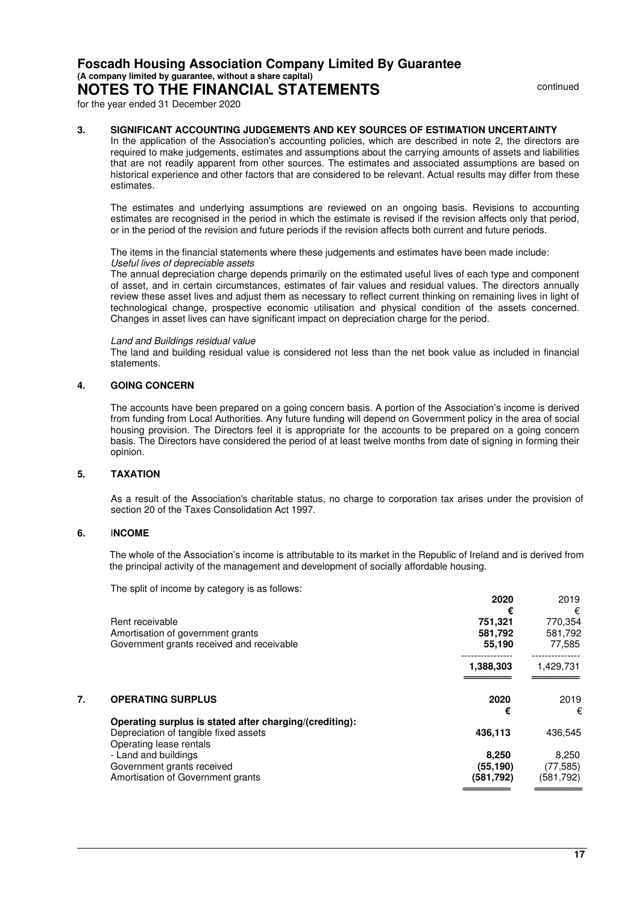for the year ended 31 December 2020

#### **3. SIGNIFICANT ACCOUNTING JUDGEMENTS AND KEY SOURCES OF ESTIMATION UNCERTAINTY**

In the application of the Association's accounting policies, which are described in note 2, the directors are required to make judgements, estimates and assumptions about the carrying amounts of assets and liabilities that are not readily apparent from other sources. The estimates and associated assumptions are based on historical experience and other factors that are considered to be relevant. Actual results may differ from these estimates.

The estimates and underlying assumptions are reviewed on an ongoing basis. Revisions to accounting estimates are recognised in the period in which the estimate is revised if the revision affects only that period, or in the period of the revision and future periods if the revision affects both current and future periods.

The items in the financial statements where these judgements and estimates have been made include: Useful lives of depreciable assets

The annual depreciation charge depends primarily on the estimated useful lives of each type and component of asset, and in certain circumstances, estimates of fair values and residual values. The directors annually review these asset lives and adjust them as necessary to reflect current thinking on remaining lives in light of technological change, prospective economic utilisation and physical condition of the assets concerned. Changes in asset lives can have significant impact on depreciation charge for the period.

#### Land and Buildings residual value

The land and building residual value is considered not less than the net book value as included in financial statements.

#### **4. GOING CONCERN**

 The accounts have been prepared on a going concern basis. A portion of the Association's income is derived from funding from Local Authorities. Any future funding will depend on Government policy in the area of social housing provision. The Directors feel it is appropriate for the accounts to be prepared on a going concern basis. The Directors have considered the period of at least twelve months from date of signing in forming their opinion.

#### **5. TAXATION**

 As a result of the Association's charitable status, no charge to corporation tax arises under the provision of section 20 of the Taxes Consolidation Act 1997.

#### **6.** I**NCOME**

 The whole of the Association's income is attributable to its market in the Republic of Ireland and is derived from the principal activity of the management and development of socially affordable housing.

The split of income by category is as follows:

|    |                                                                  | 2020       | 2019       |
|----|------------------------------------------------------------------|------------|------------|
|    |                                                                  | €          | €          |
|    | Rent receivable                                                  | 751.321    | 770,354    |
|    | Amortisation of government grants                                | 581,792    | 581,792    |
|    | Government grants received and receivable                        | 55,190     | 77,585     |
|    |                                                                  | 1,388,303  | 1,429,731  |
| 7. | <b>OPERATING SURPLUS</b>                                         | 2020<br>€  | 2019<br>€  |
|    | Operating surplus is stated after charging/(crediting):          |            |            |
|    | Depreciation of tangible fixed assets<br>Operating lease rentals | 436,113    | 436,545    |
|    | - Land and buildings                                             | 8.250      | 8,250      |
|    | Government grants received                                       | (55, 190)  | (77, 585)  |
|    | Amortisation of Government grants                                | (581, 792) | (581, 792) |
|    |                                                                  |            |            |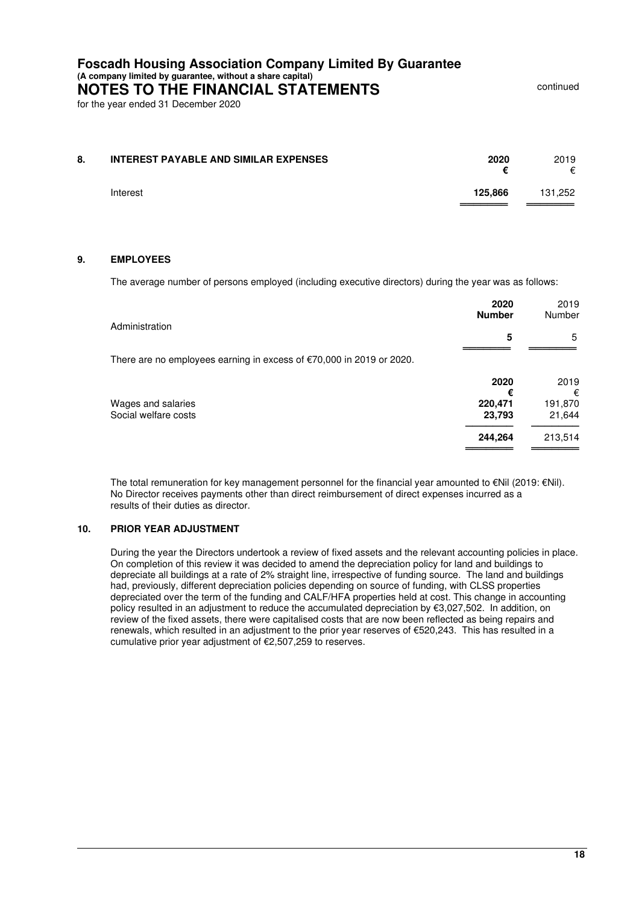for the year ended 31 December 2020

| 8. | <b>INTEREST PAYABLE AND SIMILAR EXPENSES</b> | 2020    | 2019<br>€ |
|----|----------------------------------------------|---------|-----------|
|    | Interest                                     | 125.866 | 131,252   |

#### **9. EMPLOYEES**

The average number of persons employed (including executive directors) during the year was as follows:

|                                                                      | 2020<br><b>Number</b> | 2019<br>Number |
|----------------------------------------------------------------------|-----------------------|----------------|
| Administration                                                       | 5                     | 5              |
|                                                                      |                       |                |
| There are no employees earning in excess of €70,000 in 2019 or 2020. |                       |                |
|                                                                      | 2020                  | 2019           |
|                                                                      | €                     | €              |
| Wages and salaries                                                   | 220,471               | 191,870        |
| Social welfare costs                                                 | 23,793                | 21,644         |
|                                                                      | 244,264               | 213,514        |
|                                                                      |                       |                |

The total remuneration for key management personnel for the financial year amounted to €Nil (2019: €Nil). No Director receives payments other than direct reimbursement of direct expenses incurred as a results of their duties as director.

#### **10. PRIOR YEAR ADJUSTMENT**

 During the year the Directors undertook a review of fixed assets and the relevant accounting policies in place. On completion of this review it was decided to amend the depreciation policy for land and buildings to depreciate all buildings at a rate of 2% straight line, irrespective of funding source. The land and buildings had, previously, different depreciation policies depending on source of funding, with CLSS properties depreciated over the term of the funding and CALF/HFA properties held at cost. This change in accounting policy resulted in an adjustment to reduce the accumulated depreciation by €3,027,502. In addition, on review of the fixed assets, there were capitalised costs that are now been reflected as being repairs and renewals, which resulted in an adjustment to the prior year reserves of €520,243. This has resulted in a cumulative prior year adjustment of €2,507,259 to reserves.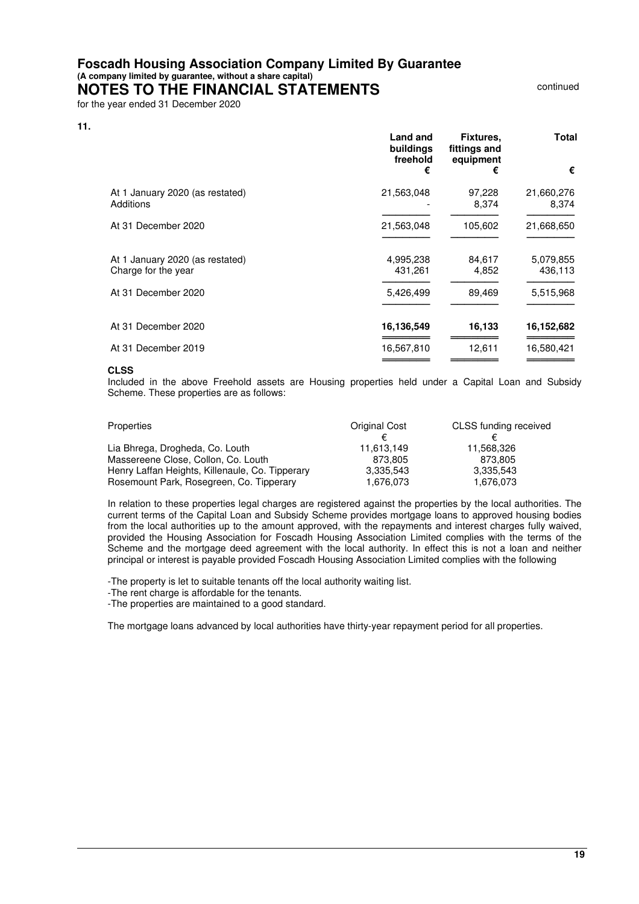for the year ended 31 December 2020

**11.**

| . |                                                        | Land and<br>buildings<br>freehold | Fixtures.<br>fittings and<br>equipment | Total                |
|---|--------------------------------------------------------|-----------------------------------|----------------------------------------|----------------------|
|   |                                                        | €                                 | €                                      | €                    |
|   | At 1 January 2020 (as restated)<br>Additions           | 21,563,048                        | 97,228<br>8,374                        | 21,660,276<br>8,374  |
|   | At 31 December 2020                                    | 21,563,048                        | 105,602                                | 21,668,650           |
|   | At 1 January 2020 (as restated)<br>Charge for the year | 4,995,238<br>431,261              | 84,617<br>4,852                        | 5,079,855<br>436,113 |
|   | At 31 December 2020                                    | 5,426,499                         | 89,469                                 | 5,515,968            |
|   | At 31 December 2020                                    | 16,136,549                        | 16,133                                 | 16,152,682           |
|   | At 31 December 2019                                    | 16,567,810                        | 12,611                                 | 16,580,421           |

#### **CLSS**

Included in the above Freehold assets are Housing properties held under a Capital Loan and Subsidy Scheme. These properties are as follows:

| Properties                                      | <b>Original Cost</b> | CLSS funding received |
|-------------------------------------------------|----------------------|-----------------------|
| Lia Bhrega, Drogheda, Co. Louth                 | 11.613.149           | 11.568.326            |
| Massereene Close, Collon, Co. Louth             | 873.805              | 873.805               |
| Henry Laffan Heights, Killenaule, Co. Tipperary | 3.335.543            | 3.335.543             |
| Rosemount Park, Rosegreen, Co. Tipperary        | 1,676,073            | 1.676.073             |

In relation to these properties legal charges are registered against the properties by the local authorities. The current terms of the Capital Loan and Subsidy Scheme provides mortgage loans to approved housing bodies from the local authorities up to the amount approved, with the repayments and interest charges fully waived, provided the Housing Association for Foscadh Housing Association Limited complies with the terms of the Scheme and the mortgage deed agreement with the local authority. In effect this is not a loan and neither principal or interest is payable provided Foscadh Housing Association Limited complies with the following

-The property is let to suitable tenants off the local authority waiting list.

-The rent charge is affordable for the tenants.

-The properties are maintained to a good standard.

The mortgage loans advanced by local authorities have thirty-year repayment period for all properties.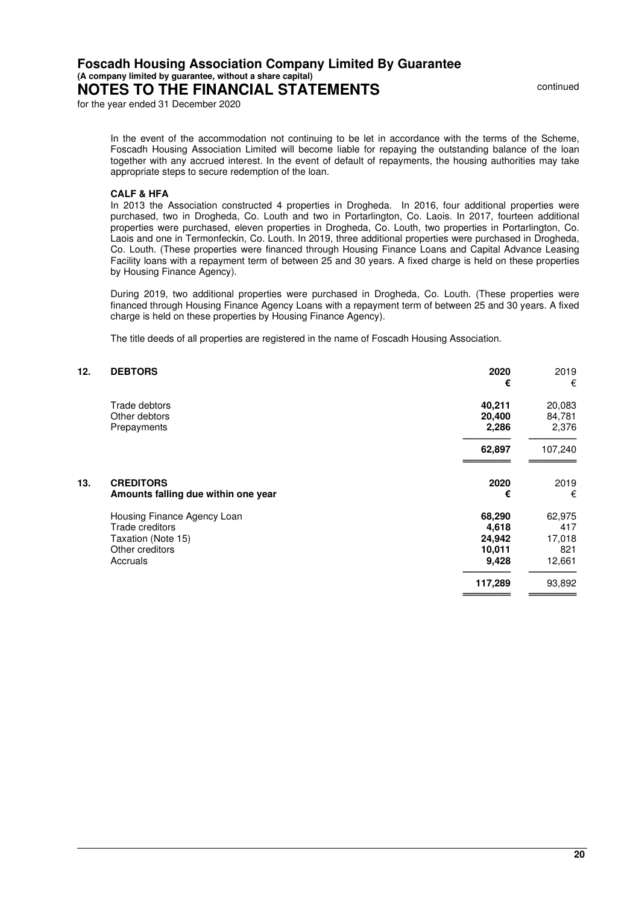for the year ended 31 December 2020

In the event of the accommodation not continuing to be let in accordance with the terms of the Scheme, Foscadh Housing Association Limited will become liable for repaying the outstanding balance of the loan together with any accrued interest. In the event of default of repayments, the housing authorities may take appropriate steps to secure redemption of the loan.

#### **CALF & HFA**

In 2013 the Association constructed 4 properties in Drogheda. In 2016, four additional properties were purchased, two in Drogheda, Co. Louth and two in Portarlington, Co. Laois. In 2017, fourteen additional properties were purchased, eleven properties in Drogheda, Co. Louth, two properties in Portarlington, Co. Laois and one in Termonfeckin, Co. Louth. In 2019, three additional properties were purchased in Drogheda, Co. Louth. (These properties were financed through Housing Finance Loans and Capital Advance Leasing Facility loans with a repayment term of between 25 and 30 years. A fixed charge is held on these properties by Housing Finance Agency).

During 2019, two additional properties were purchased in Drogheda, Co. Louth. (These properties were financed through Housing Finance Agency Loans with a repayment term of between 25 and 30 years. A fixed charge is held on these properties by Housing Finance Agency).

The title deeds of all properties are registered in the name of Foscadh Housing Association.

| 12. | <b>DEBTORS</b>                                          | 2020<br>€       | 2019<br>€       |
|-----|---------------------------------------------------------|-----------------|-----------------|
|     | Trade debtors                                           | 40,211          | 20,083          |
|     | Other debtors<br>Prepayments                            | 20,400<br>2,286 | 84,781<br>2,376 |
|     |                                                         | 62,897          | 107,240         |
| 13. | <b>CREDITORS</b><br>Amounts falling due within one year | 2020<br>€       | 2019<br>€       |
|     | Housing Finance Agency Loan                             | 68,290          | 62,975          |
|     | Trade creditors<br>Taxation (Note 15)                   | 4,618<br>24,942 | 417<br>17,018   |
|     | Other creditors<br>Accruals                             | 10,011<br>9,428 | 821<br>12,661   |
|     |                                                         | 117,289         | 93,892          |
|     |                                                         |                 |                 |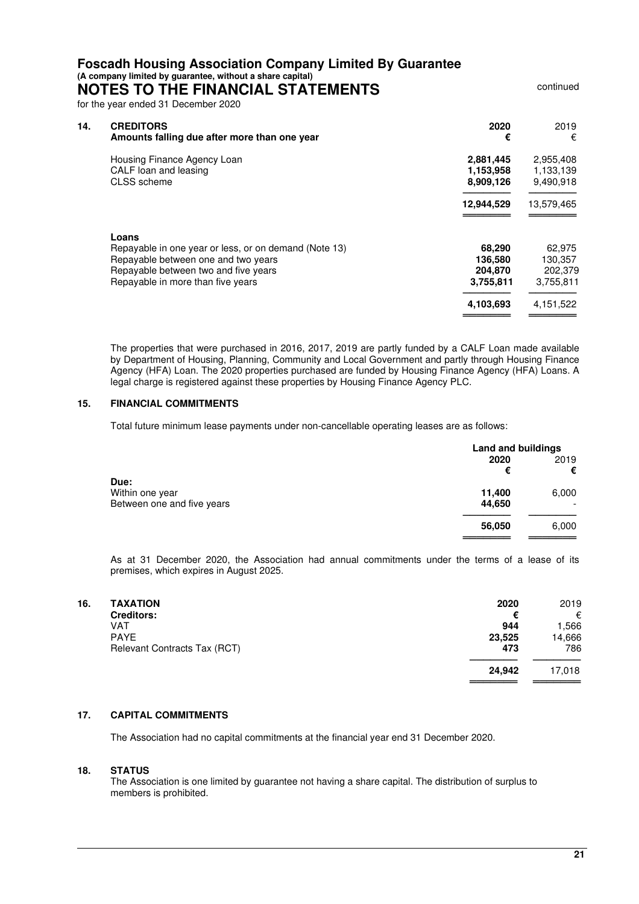for the year ended 31 December 2020

| 14.                                           | <b>CREDITORS</b><br>Amounts falling due after more than one year                                                                                                          | 2020<br>€                                              | 2019<br>€                                              |
|-----------------------------------------------|---------------------------------------------------------------------------------------------------------------------------------------------------------------------------|--------------------------------------------------------|--------------------------------------------------------|
| CALF loan and leasing<br>CLSS scheme<br>Loans | Housing Finance Agency Loan                                                                                                                                               | 2,881,445<br>1,153,958<br>8.909,126                    | 2,955,408<br>1,133,139<br>9,490,918                    |
|                                               |                                                                                                                                                                           | 12,944,529                                             | 13,579,465                                             |
|                                               | Repayable in one year or less, or on demand (Note 13)<br>Repayable between one and two years<br>Repayable between two and five years<br>Repayable in more than five years | 68,290<br>136,580<br>204,870<br>3,755,811<br>4,103,693 | 62,975<br>130,357<br>202,379<br>3,755,811<br>4,151,522 |

 The properties that were purchased in 2016, 2017, 2019 are partly funded by a CALF Loan made available by Department of Housing, Planning, Community and Local Government and partly through Housing Finance Agency (HFA) Loan. The 2020 properties purchased are funded by Housing Finance Agency (HFA) Loans. A legal charge is registered against these properties by Housing Finance Agency PLC.

#### **15. FINANCIAL COMMITMENTS**

Total future minimum lease payments under non-cancellable operating leases are as follows:

|                            |        | Land and buildings       |  |
|----------------------------|--------|--------------------------|--|
|                            | 2020   | 2019                     |  |
|                            | €      | €                        |  |
| Due:                       |        |                          |  |
| Within one year            | 11,400 | 6,000                    |  |
| Between one and five years | 44,650 | $\overline{\phantom{0}}$ |  |
|                            | 56,050 | 6,000                    |  |
|                            |        |                          |  |

 As at 31 December 2020, the Association had annual commitments under the terms of a lease of its premises, which expires in August 2025.

| 16. | <b>TAXATION</b><br><b>Creditors:</b>               | 2020<br>€            | 2019<br>€              |
|-----|----------------------------------------------------|----------------------|------------------------|
|     | VAT<br><b>PAYE</b><br>Relevant Contracts Tax (RCT) | 944<br>23,525<br>473 | 1,566<br>14,666<br>786 |
|     |                                                    | 24,942               | 17,018                 |

#### **17. CAPITAL COMMITMENTS**

The Association had no capital commitments at the financial year end 31 December 2020.

#### **18. STATUS**

 The Association is one limited by guarantee not having a share capital. The distribution of surplus to members is prohibited.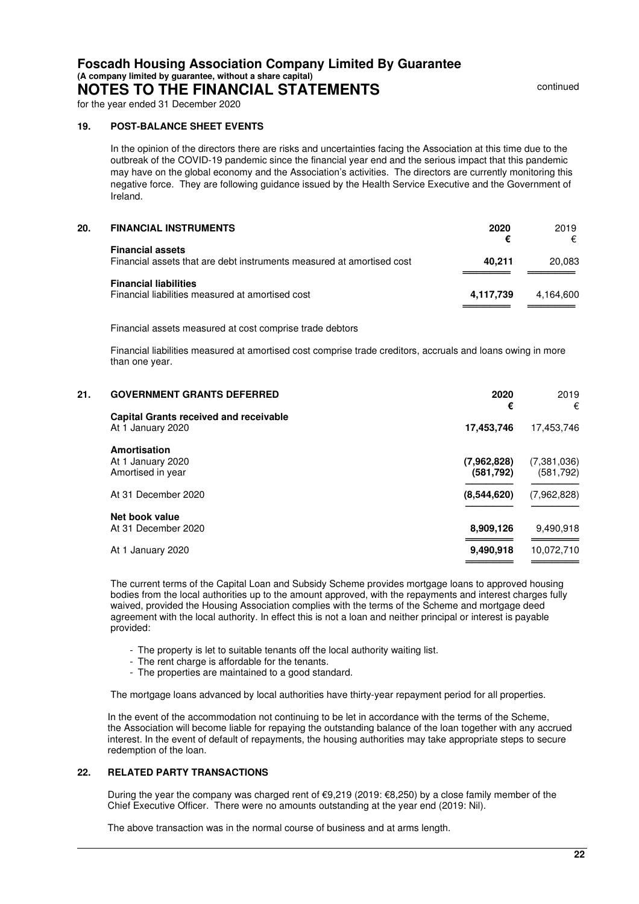for the year ended 31 December 2020

#### **19. POST-BALANCE SHEET EVENTS**

 In the opinion of the directors there are risks and uncertainties facing the Association at this time due to the outbreak of the COVID-19 pandemic since the financial year end and the serious impact that this pandemic may have on the global economy and the Association's activities. The directors are currently monitoring this negative force. They are following guidance issued by the Health Service Executive and the Government of Ireland.

#### **20. FINANCIAL INSTRUMENTS 2020** 2019

| <b>Financial assets</b>                                               |           | €         |
|-----------------------------------------------------------------------|-----------|-----------|
| Financial assets that are debt instruments measured at amortised cost | 40.211    | 20.083    |
| <b>Financial liabilities</b>                                          |           |           |
| Financial liabilities measured at amortised cost                      | 4.117.739 | 4.164.600 |

Financial assets measured at cost comprise trade debtors

 Financial liabilities measured at amortised cost comprise trade creditors, accruals and loans owing in more than one year.

| 21. | <b>GOVERNMENT GRANTS DEFERRED</b>             | 2020        | 2019<br>€   |
|-----|-----------------------------------------------|-------------|-------------|
|     | <b>Capital Grants received and receivable</b> | €           |             |
|     | At 1 January 2020                             | 17,453,746  | 17,453,746  |
|     | Amortisation                                  |             |             |
|     | At 1 January 2020                             | (7,962,828) | (7,381,036) |
|     | Amortised in year                             | (581,792)   | (581, 792)  |
|     | At 31 December 2020                           | (8.544.620) | (7,962,828) |
|     | Net book value                                |             |             |
|     | At 31 December 2020                           | 8,909,126   | 9.490.918   |
|     | At 1 January 2020                             | 9.490.918   | 10,072,710  |
|     |                                               |             |             |

 The current terms of the Capital Loan and Subsidy Scheme provides mortgage loans to approved housing bodies from the local authorities up to the amount approved, with the repayments and interest charges fully waived, provided the Housing Association complies with the terms of the Scheme and mortgage deed agreement with the local authority. In effect this is not a loan and neither principal or interest is payable provided:

- The property is let to suitable tenants off the local authority waiting list.
- The rent charge is affordable for the tenants.
- The properties are maintained to a good standard.

The mortgage loans advanced by local authorities have thirty-year repayment period for all properties.

 In the event of the accommodation not continuing to be let in accordance with the terms of the Scheme, the Association will become liable for repaying the outstanding balance of the loan together with any accrued interest. In the event of default of repayments, the housing authorities may take appropriate steps to secure redemption of the loan.

#### **22. RELATED PARTY TRANSACTIONS**

 During the year the company was charged rent of €9,219 (2019: €8,250) by a close family member of the Chief Executive Officer. There were no amounts outstanding at the year end (2019: Nil).

The above transaction was in the normal course of business and at arms length.